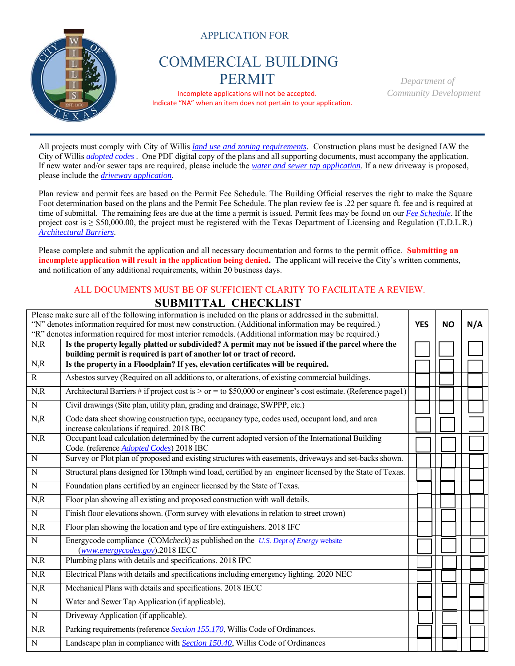

APPLICATION FOR

## COMMERCIAL BUILDING PERMIT *Department of*

 Incomplete applications will not be accepted. *Community Development* Indicate "NA" when an item does not pertain to your application.

All projects must comply with City of Willis *land use and zoning requirements*. Construction plans must be designed IAW the City of Willis *adopted codes* . One PDF digital copy of the plans and all supporting documents, must accompany the application. If new water and/or sewer taps are required, please include the *water and sewer tap application*. If a new driveway is proposed, please include the *driveway application*.

Plan review and permit fees are based on the Permit Fee Schedule. The Building Official reserves the right to make the Square Foot determination based on the plans and the Permit Fee Schedule. The plan review fee is .22 per square ft. fee and is required at time of submittal. The remaining fees are due at the time a permit is issued. Permit fees may be found on our *Fee Schedule*. If the project cost is  $\geq$  \$50,000.00, the project must be registered with the Texas Department of Licensing and Regulation (T.D.L.R.) *Architectural Barriers*.

Please complete and submit the application and all necessary documentation and forms to the permit office. **Submitting an incomplete application will result in the application being denied.** The applicant will receive the City's written comments, and notification of any additional requirements, within 20 business days.

## ALL DOCUMENTS MUST BE OF SUFFICIENT CLARITY TO FACILITATE A REVIEW.  **SUBMITTAL CHECKLIST**

| Please make sure all of the following information is included on the plans or addressed in the submittal.<br>"N" denotes information required for most new construction. (Additional information may be required.)<br>"R" denotes information required for most interior remodels. (Additional information may be required.) |                                                                                                                                                                             |  |  | N/A |
|------------------------------------------------------------------------------------------------------------------------------------------------------------------------------------------------------------------------------------------------------------------------------------------------------------------------------|-----------------------------------------------------------------------------------------------------------------------------------------------------------------------------|--|--|-----|
| N, R                                                                                                                                                                                                                                                                                                                         | Is the property legally platted or subdivided? A permit may not be issued if the parcel where the<br>building permit is required is part of another lot or tract of record. |  |  |     |
| N, R                                                                                                                                                                                                                                                                                                                         | Is the property in a Floodplain? If yes, elevation certificates will be required.                                                                                           |  |  |     |
| $\overline{R}$                                                                                                                                                                                                                                                                                                               | Asbestos survey (Required on all additions to, or alterations, of existing commercial buildings.                                                                            |  |  |     |
| N, R                                                                                                                                                                                                                                                                                                                         | Architectural Barriers # if project cost is $>$ or = to \$50,000 or engineer's cost estimate. (Reference page1)                                                             |  |  |     |
| $\overline{N}$                                                                                                                                                                                                                                                                                                               | Civil drawings (Site plan, utility plan, grading and drainage, SWPPP, etc.)                                                                                                 |  |  |     |
| N, R                                                                                                                                                                                                                                                                                                                         | Code data sheet showing construction type, occupancy type, codes used, occupant load, and area<br>increase calculations if required. 2018 IBC                               |  |  |     |
| N, R                                                                                                                                                                                                                                                                                                                         | Occupant load calculation determined by the current adopted version of the International Building<br>Code. (reference <b>Adopted Codes</b> ) 2018 IBC                       |  |  |     |
| $\overline{N}$                                                                                                                                                                                                                                                                                                               | Survey or Plot plan of proposed and existing structures with easements, driveways and set-backs shown.                                                                      |  |  |     |
| ${\bf N}$                                                                                                                                                                                                                                                                                                                    | Structural plans designed for 130mph wind load, certified by an engineer licensed by the State of Texas.                                                                    |  |  |     |
| $\overline{N}$                                                                                                                                                                                                                                                                                                               | Foundation plans certified by an engineer licensed by the State of Texas.                                                                                                   |  |  |     |
| N, R                                                                                                                                                                                                                                                                                                                         | Floor plan showing all existing and proposed construction with wall details.                                                                                                |  |  |     |
| $\overline{N}$                                                                                                                                                                                                                                                                                                               | Finish floor elevations shown. (Form survey with elevations in relation to street crown)                                                                                    |  |  |     |
| N, R                                                                                                                                                                                                                                                                                                                         | Floor plan showing the location and type of fire extinguishers. 2018 IFC                                                                                                    |  |  |     |
| $\overline{N}$                                                                                                                                                                                                                                                                                                               | Energycode compliance (COMcheck) as published on the U.S. Dept of Energy website<br>$(www. energy codes.gov).2018 \text{ IECC}$                                             |  |  |     |
| N, R                                                                                                                                                                                                                                                                                                                         | Plumbing plans with details and specifications. 2018 IPC                                                                                                                    |  |  |     |
| N, R                                                                                                                                                                                                                                                                                                                         | Electrical Plans with details and specifications including emergency lighting. 2020 NEC                                                                                     |  |  |     |
| N, R                                                                                                                                                                                                                                                                                                                         | Mechanical Plans with details and specifications. 2018 IECC                                                                                                                 |  |  |     |
| $\overline{N}$                                                                                                                                                                                                                                                                                                               | Water and Sewer Tap Application (if applicable).                                                                                                                            |  |  |     |
| $\overline{N}$                                                                                                                                                                                                                                                                                                               | Driveway Application (if applicable).                                                                                                                                       |  |  |     |
| N, R                                                                                                                                                                                                                                                                                                                         | Parking requirements (reference Section 155.170, Willis Code of Ordinances.                                                                                                 |  |  |     |
| $\overline{N}$                                                                                                                                                                                                                                                                                                               | Landscape plan in compliance with <b>Section 150.40</b> , Willis Code of Ordinances                                                                                         |  |  |     |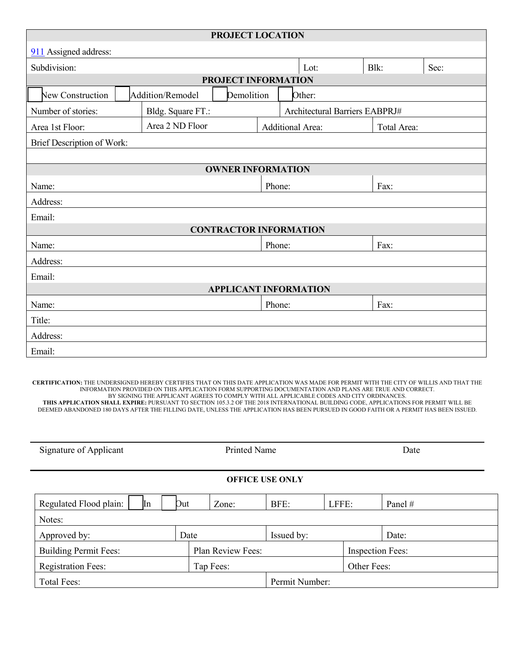| PROJECT LOCATION              |                                                     |                          |                  |      |      |             |      |  |
|-------------------------------|-----------------------------------------------------|--------------------------|------------------|------|------|-------------|------|--|
| 911 Assigned address:         |                                                     |                          |                  |      |      |             |      |  |
| Subdivision:                  |                                                     |                          |                  | Lot: |      | Blk:        | Sec: |  |
| <b>PROJECT INFORMATION</b>    |                                                     |                          |                  |      |      |             |      |  |
| New Construction              | Addition/Remodel<br>Demolition<br>Other:            |                          |                  |      |      |             |      |  |
| Number of stories:            | Bldg. Square FT.:<br>Architectural Barriers EABPRJ# |                          |                  |      |      |             |      |  |
| Area 1st Floor:               | Area 2 ND Floor                                     |                          | Additional Area: |      |      | Total Area: |      |  |
| Brief Description of Work:    |                                                     |                          |                  |      |      |             |      |  |
|                               |                                                     |                          |                  |      |      |             |      |  |
|                               |                                                     | <b>OWNER INFORMATION</b> |                  |      |      |             |      |  |
| Name:                         |                                                     |                          | Phone:           |      | Fax: |             |      |  |
| Address:                      |                                                     |                          |                  |      |      |             |      |  |
| Email:                        |                                                     |                          |                  |      |      |             |      |  |
| <b>CONTRACTOR INFORMATION</b> |                                                     |                          |                  |      |      |             |      |  |
| Name:                         |                                                     |                          | Phone:           |      | Fax: |             |      |  |
| Address:                      |                                                     |                          |                  |      |      |             |      |  |
| Email:                        |                                                     |                          |                  |      |      |             |      |  |
| <b>APPLICANT INFORMATION</b>  |                                                     |                          |                  |      |      |             |      |  |
| Name:                         |                                                     |                          | Phone:           |      |      | Fax:        |      |  |
| Title:                        |                                                     |                          |                  |      |      |             |      |  |
| Address:                      |                                                     |                          |                  |      |      |             |      |  |
| Email:                        |                                                     |                          |                  |      |      |             |      |  |

**CERTIFICATION:** THE UNDERSIGNED HEREBY CERTIFIES THAT ON THIS DATE APPLICATION WAS MADE FOR PERMIT WITH THE CITY OF WILLIS AND THAT THE INFORMATION PROVIDED ON THIS APPLICATION FORM SUPPORTING DOCUMENTATION AND PLANS ARE TRUE AND CORRECT. BY SIGNING THE APPLICANT AGREES TO COMPLY WITH ALL APPLICABLE CODES AND CITY ORDINANCES. **THIS APPLICATION SHALL EXPIRE:** PURSUANT TO SECTION 105.3.2 OF THE 2018 INTERNATIONAL BUILDING CODE, APPLICATIONS FOR PERMIT WILL BE DEEMED ABANDONED 180 DAYS AFTER THE FILLING DATE, UNLESS THE APPLICATION HAS BEEN PURSUED IN GOOD FAITH OR A PERMIT HAS BEEN ISSUED.

| Signature of Applicant       |  |      | <b>Printed Name</b> |            |                         | Date |           |  |
|------------------------------|--|------|---------------------|------------|-------------------------|------|-----------|--|
| <b>OFFICE USE ONLY</b>       |  |      |                     |            |                         |      |           |  |
| In<br>Regulated Flood plain: |  | Out  | Zone:               | BFE:       | LFFE:                   |      | Panel $#$ |  |
| Notes:                       |  |      |                     |            |                         |      |           |  |
| Approved by:                 |  | Date |                     | Issued by: |                         |      | Date:     |  |
| <b>Building Permit Fees:</b> |  |      | Plan Review Fees:   |            | <b>Inspection Fees:</b> |      |           |  |
| <b>Registration Fees:</b>    |  |      | Tap Fees:           |            | Other Fees:             |      |           |  |
| Total Fees:                  |  |      | Permit Number:      |            |                         |      |           |  |